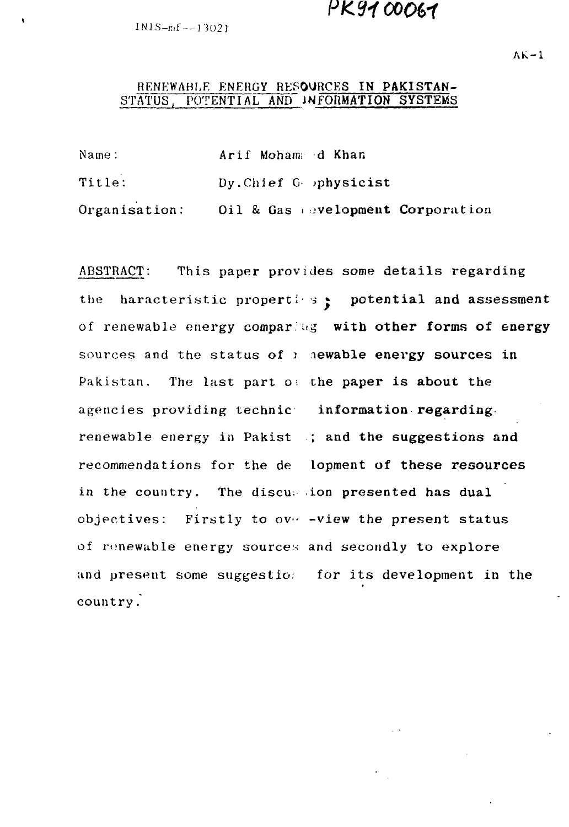PK9100061

 $INIS-nf = -13021$ 

## RENEWABLE ENERGY RESOURCES IN PAKISTAN-STATUS, POTENTIAL AND INFORMATION SYSTEMS

| Name:         | Arif Moham d Khan                |
|---------------|----------------------------------|
| <b>Title:</b> | Dy. Chief G physicist            |
| Organisation: | Oil & Gas evelopment Corporation |

ABSTRACT: This paper provides some details regarding the haracteristic properties  $\cdot$  potential and assessment of renewable energy comparing with other forms of energy sources and the status of  $\iota$  newable energy sources in Pakistan. The last part  $o$ : the paper is about the agencies providing technic information regarding. renewable energy in Pakist ; and the suggestions and recommendations for the de Lopment of these resources in the country. The discussion presented has dual objectives: Firstly to over-view the present status of renewable energy sources and secondly to explore and present some suggestion for its development in the country.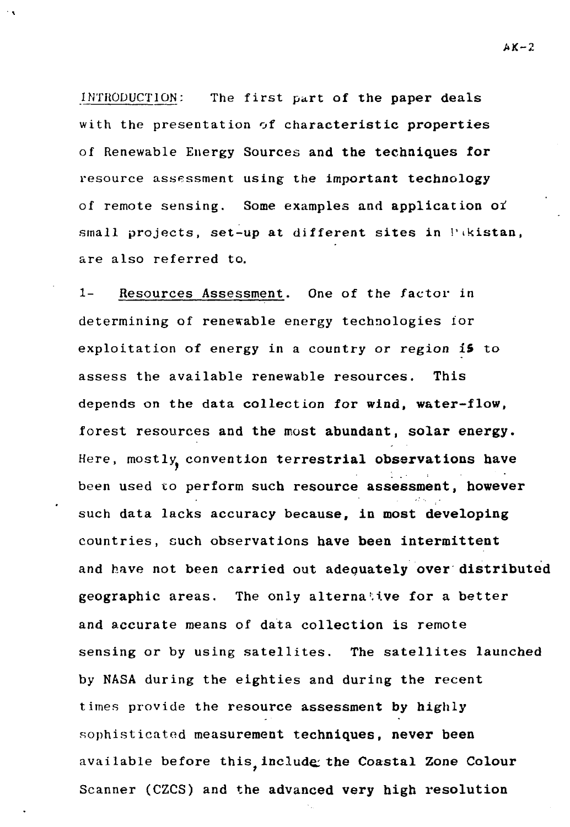INTRODUCTION: The first part of the paper deals with the presentation of characteristic properties of Renewable Energy Sources and the techniques for resource assessment using the important technology of remote sensing. Some examples and application oi small projects, set-up at different sites in  $\mathbb{P}^1$  ikistan, are also referred to.

1- Resources Assessment. One of the factor in determining of renewable energy technologies ior exploitation of energy in a country or region 15 to assess the available renewable resources. This depends on the data collection for wind, water-flow, forest resources and the most abundant, solar energy. Here, mostly convention terrestrial observations have been used to perform such resource assessment, however such data lacks accuracy because, in most developing countries, cuch observations have been intermittent and have not been carried out adequately over distributed geographic areas. The only alternative for a better and accurate means of data collection is remote sensing or by using satellites. The satellites launched by NASA during the eighties and during the recent times provide the resource assessment by highly sophisticated measurement techniques, never been available before this include the Coastal Zone Colour Scanner (CZCS) and the advanced very high resolution

 $AK-2$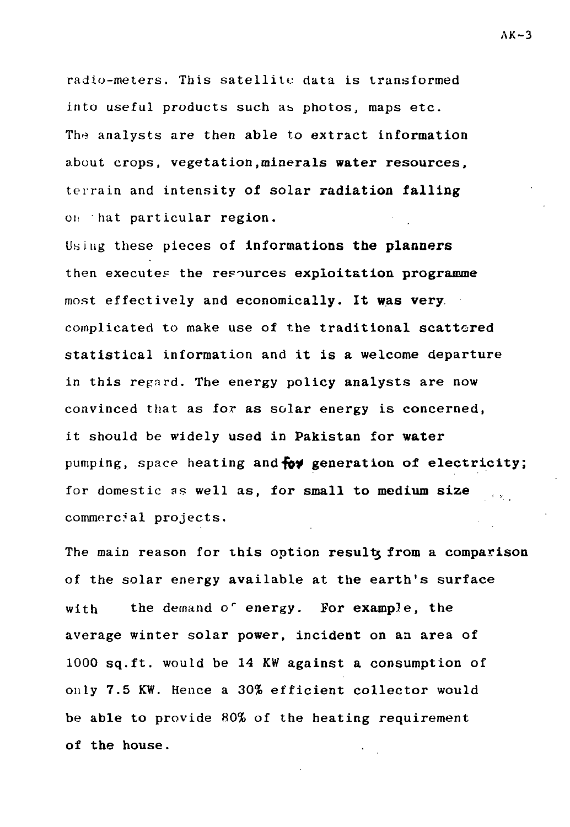radio-meters. This satellite data is transformed into useful products such as photos, maps etc. The analysts are then able to extract information about crops, vegetation,minerals **water resources,** terrain and intensity **of** solar **radiation falling** on hat particular region.

Using these pieces **of informations the planners** then execute? the **resources exploitation programme** most effectively and **economically. It was very.** complicated to make use of the traditional scattered statistical information and it is a welcome departure in this regard. The energy policy analysts are now convinced that as for as solar energy is concerned, it should be widely used in **Pakistan** for **water** pumping, space heating **and-fbf generation of electricity;** for domestic as well as, for **small to medium size** commercial projects.

The main reason for this **option resultj from a comparison** of the solar energy available at the earth's surface with the demand o' energy. For example, the average winter solar power, incident on an area of 1000 sq.ft. would be 14 KW against a consumption of only 7.5 KW. Hence a 30% efficient collector would be able to provide 80% of the heating requirement of **the** house.

 $AK-3$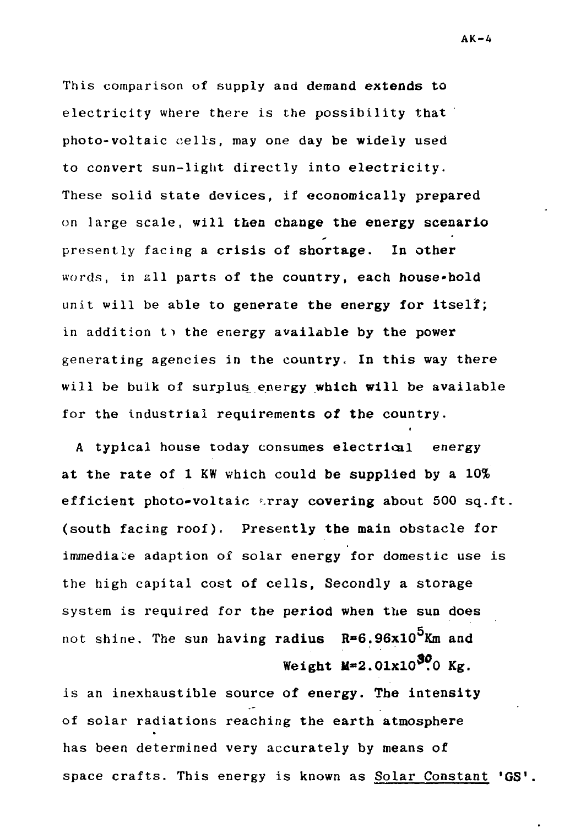This comparison of supply and demand extends to electricity where there is the possibility that photo-voltaic cells, may one day be widely used to convert sun-light directly into electricity. These solid state devices, if economically prepared on large scale, will then change the energy scenario presently facing a crisis of shortage. In other words, in all parts of the country, each house-hold unit will be able to generate the energy for itself; in addition  $t$  the energy available by the power generating agencies in the country. In this way there will be bulk of surplus energy which will be available for the industrial requirements of the country.

A typical house today consumes electrical energy at the rate of 1 KW which could be supplied by a 10% efficient photo-voltaic array covering about 500 sq.ft. (south facing roof). Presently the main obstacle for immediate adaption of solar energy for domestic use is the high capital cost of cells. Secondly a storage system is required for the period when the sun does not shine. The sun having radius **R»6.96x10** Km and Weight **M=2.01xl0<sup>5</sup>?0 Kg.**

is an inexhaustible source of energy. The intensity of solar radiations reaching the earth atmosphere has been determined very accurately by means of space crafts. This energy is known as Solar Constant 'GS'.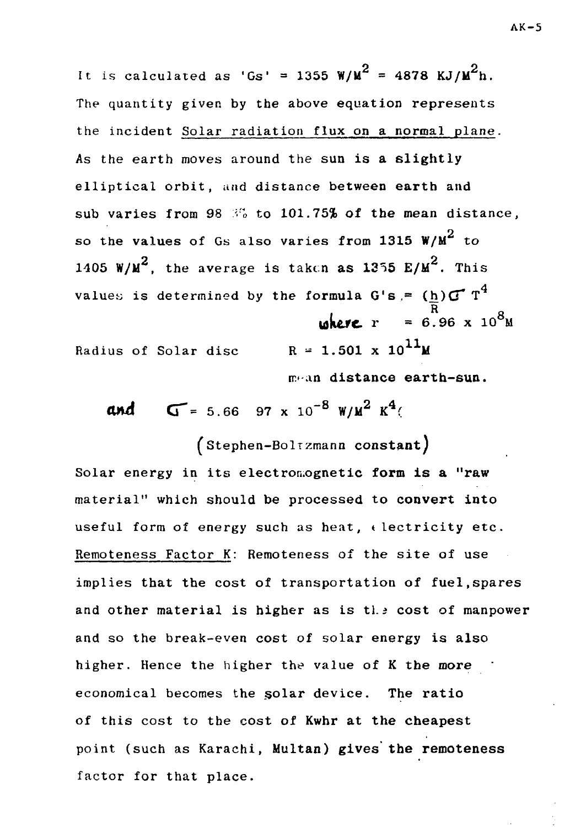It is calculated as 'Gs' = 1355  $W/M^2 = 4878$  KJ/ $M^2$ h. The quantity given by the above equation represents the incident Solar radiation flux on a normal plane. As the earth moves around the sun is **a** slightly elliptical orbit, and distance between earth and sub varies from 98 <sup>37</sup> to 101.75**% of the mean distance**, 2 so the values of Gs also varies from **1315** W/M to 1405 W/M<sup>2</sup>, the average is taken as 1355 E/M<sup>2</sup>. This values is determined by the formula G's.=  $(\underline{h})\mathbf{G}^T$  T<sup>4</sup>  $\frac{R}{\cos \theta}$  =  $\frac{R}{\cos \theta}$  =  $\frac{8}{10^8}$ Radius of Solar disc  $R = 1.501 \times 10^{11}M$ 

 $m+an$  distance earth-sun.

IT.'-an **distance earth-sun. and**  $G = 5.66$  97 x 10<sup>-8</sup> W/M<sup>2</sup> K<sup>4</sup>(

(stephen-Bolrzmann **constant)** Solar energy in its elect ron.ognetic **form is a "raw** material" which should be processed to **convert into** useful form of energy such as heat,  $\epsilon$  lectricity etc. Remoteness Factor K: Remoteness of the site of use implies that the cost of transportation **of** fuel,spares and other material is higher as is the cost of manpower and so the break-even cost of solar energy is also higher. Hence the higher the value of K **the more** economical becomes the solar device. The **ratio** of this cost to the cost of **Kwhr at the cheapest** point (such as Karachi, Multan) gives **the remoteness** factor for that place.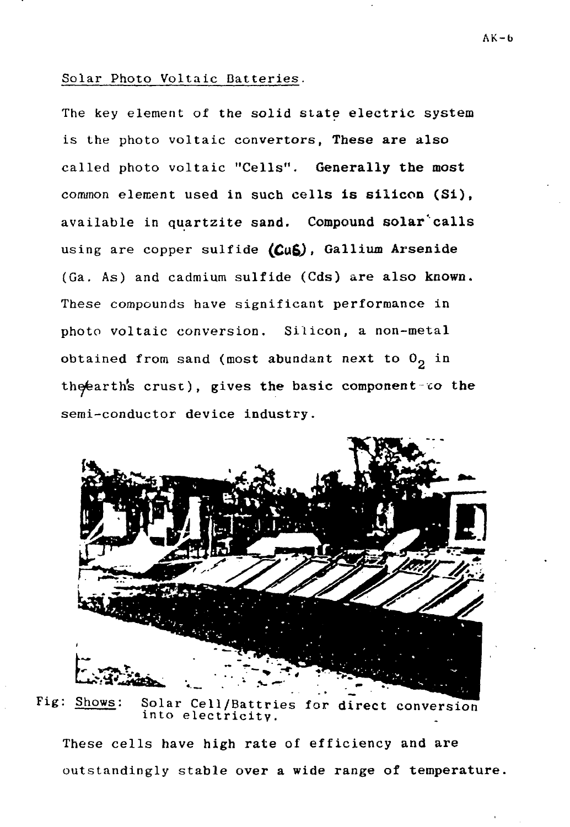### Solar Photo Voltaic Batteries.

The key element of the solid state electric system is the photo voltaic converters, These **are** also called photo voltaic "Cells". **Generally the most** common element used in such cells **is silicon (Si),** available in quartzite **sand. Compound solar'calls** using are copper sulfide (CuS), Gallium Arsenide (Ga. As) and cadmium sulfide (Cds) are also **known.** These compounds have significant performance in photo voltaic conversion. Silicon, a non-metal obtained from sand (most abundant next to  $0<sub>2</sub>$  in the fearth's crust), gives the basic component to the semi-conductor device industry.



Fig: Shows: Solar Cell/Battries for **direct** conversion into electricity.

These cells have high rate of efficiency and are outstandingly stable over a wide range of temperature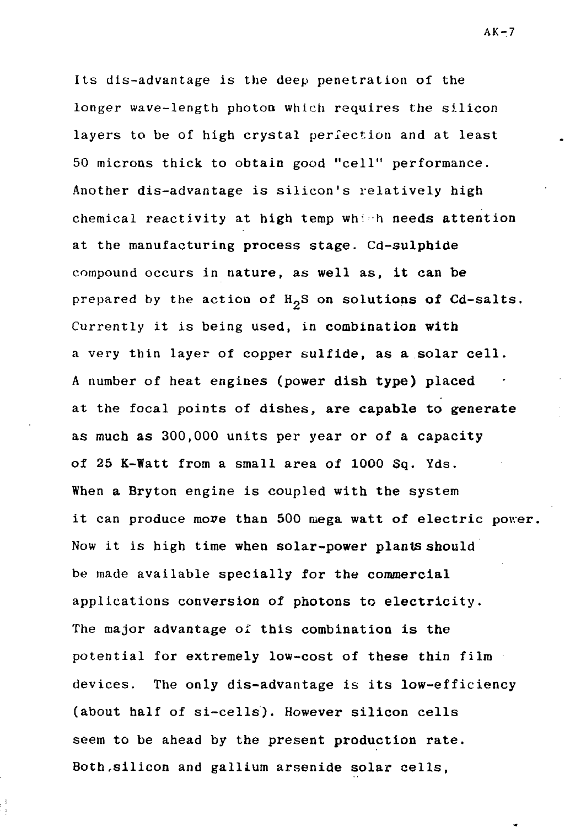Its dis-advantage is the deep penetration of the longer wave-length photoo which requires the silicon layers to be of high crystal perfection and at least 50 microns thick to obtain good "cell" performance. Another dis-advantage is silicon's relatively high chemical reactivity at high temp which needs attention at the manufacturing process stage. Cd-sulpbide compound occurs in nature, as well as, it can be prepared by the action of  $H_2S$  on solutions of Cd-salts. Currently it is being used, in combination with a very thin layer of copper sulfide, as a solar cell. A number of heat engines (power dish type) placed at the focal points of dishes, are capable to generate as much as 300,000 units per year or of a capacity of 25 K-Watt from a small area of 1000 Sq. Yds. When a Bryton engine is coupled with the system it can produce move than 500 mega watt of electric power. Now it is high time when solar-power plants should be made available specially for the commercial applications conversion of photons to electricity. The major advantage of this combination is the potential for extremely low-cost of these thin film devices. The only dis-advantage is its low-efficiency (about half of si-cells). However silicon cells seem to be ahead by the present production rate. Both,silicon and gallium arsenide solar cells,

 $AK-7$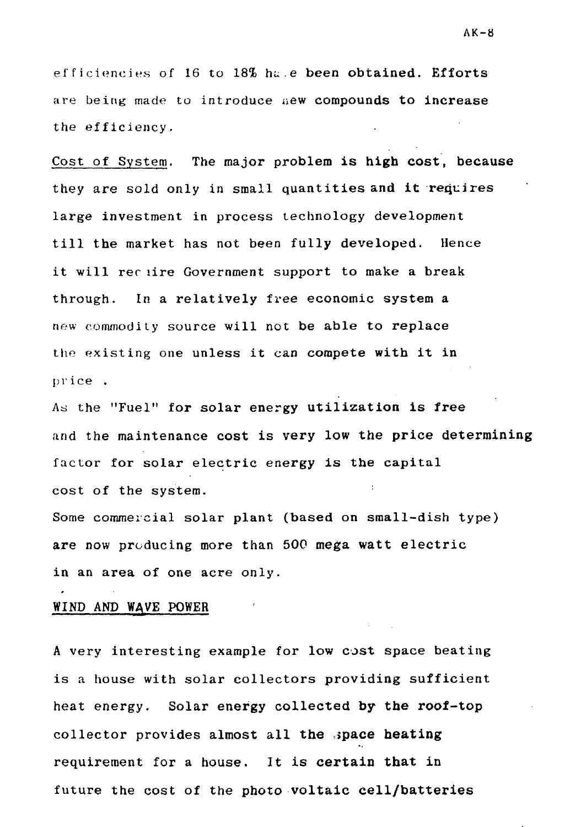efficiencies of 16 to 18% hu .e been obtained. Efforts are being made to introduce new compounds to increase the efficiency.

Cost of System. The major problem is **high** cost, because they are sold only in small quantities and **it** requires large investment in process technology development till the market has not been fully developed. Hence it will rer lire Government support to make a break through. In a relatively free economic system a new commodity source will not be able to replace the existing one unless it can compete with it in price .

As the "Fuel" for solar energy utilization is free and the maintenance cost is very low the price determining factor for solar electric energy is the capital cost of the system.

Some commercial solar plant (based on small-dish type) are now producing more than 500 mega watt electric in an area of one acre only.

#### WIND AND WAVE POWER

A very interesting example for low cost space beating is a house with solar collectors providing sufficient heat energy. Solar energy collected by **the** roof-top collector provides almost all **the space heating** requirement for a house. It is **certain that** in future the cost of the photo **voltaic cell/batteries**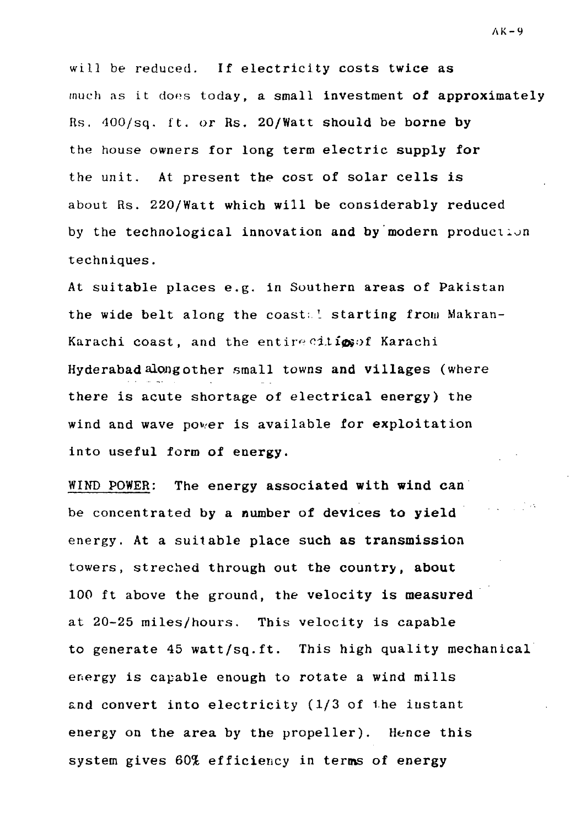will be reduced. If electricity costs twice as much as it does today, a small investment of approximately Rs. 400/sq. ft. or Rs. 20/Watt should be borne by the house owners for long term electric supply for the unit. At present the cost of solar cells is about Rs. 220/Watt which will be considerably reduced by the technological innovation and by modern production techniques.

At suitable places e.g. in Southern areas of Pakistan the wide belt along the coast; 1 starting from Makran-Karachi coast, and the entire ciligs of Karachi Hyderabad along other small towns and villages (where there is acute shortage of electrical energy) the wind and wave power is available for exploitation into useful form of energy.

WIND POWER: The energy associated **with wind** can be concentrated by a number of devices to yield energy. At a suitable place such as transmission towers, streched through out the country, about 100 ft above the ground, the velocity is measured at 20-25 miles/hours. This velocity is capable to generate 45 watt/sq.ft. This high quality mechanical energy is capable enough to rotate a wind mills and convert into electricity (1/3 of the instant energy on the area by the propeller). Hence this system gives 60% efficiency in terms of energy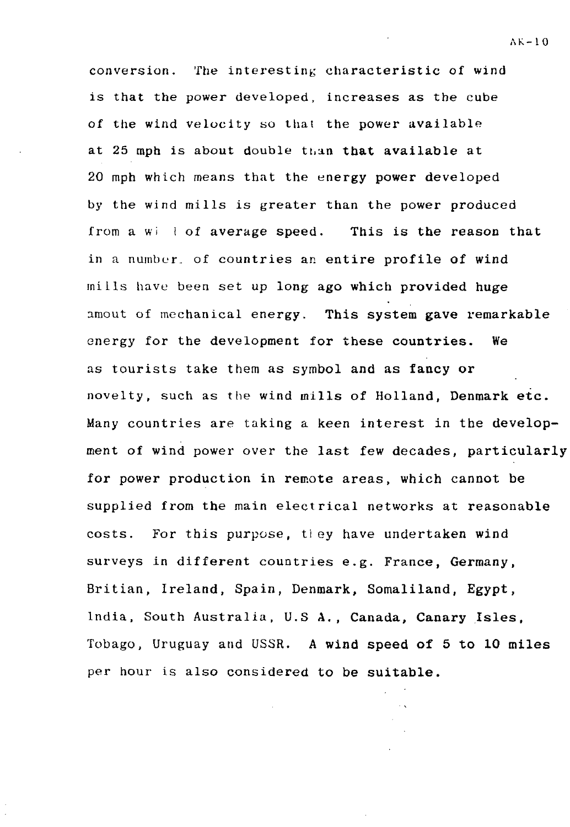conversion. The interesting characteristic of wind is that the power developed, increases as the cube of the wind velocity so that the power available at 25 mph is about double than that available at 20 mph which means that the energy power developed by the wind mills is greater than the power produced from a  $w_i$  i of average speed. This is the reason that in a number, of countries an entire profile of wind miLls have been set up long ago which provided huge amout of mechanical energy. This system gave remarkable energy for the development for these countries. We as tourists take them as symbol and as fancy or novelty, such as the wind mills of Holland, Denmark etc. Many countries are taking a keen interest in the development of wind power over the last few decades, particularly for power production in remote areas, which cannot be supplied from the main electrical networks at reasonable costs. For this purpose, ti ey have undertaken wind surveys in different countries e.g. France, Germany, Britian, Ireland, Spain, Denmark, Somaliland, Egypt, India, South Australia, U.S A., Canada, Canary Isles, Tobago, Uruguay and USSR. A wind speed of 5 to 10 miles per hour is also considered to be suitable.

**A K - 1 0**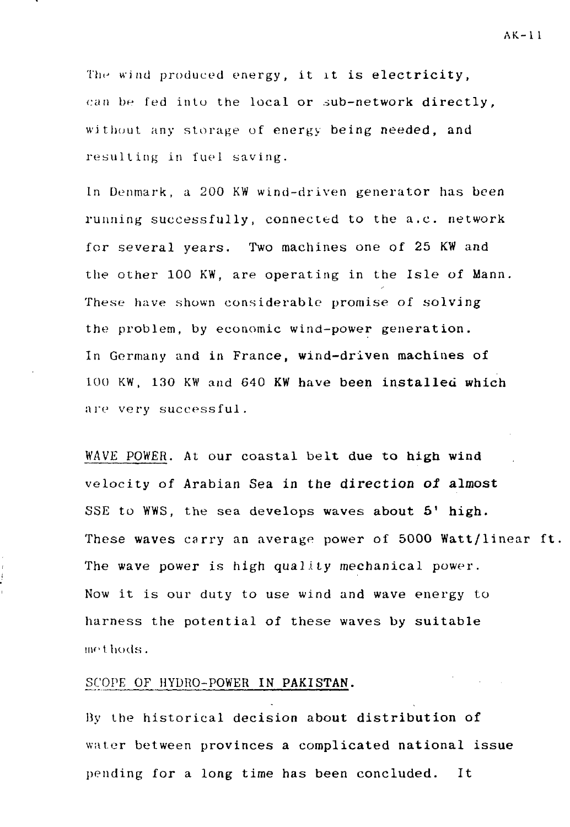The wind produced energy, it it is electricity, can be fed into the local or sub-network directly, without any storage of energy being needed, and resulting in fuel saving.

In Denmark, a 200 KW wind-driven generator has been running successfully, connected to the a.c. network for several years. Two machines one of 25 KW and the other 100 KW, are operating in the Isle of Mann. These have shown considerable promise of solving the problem, by economic wind-power generation. In Germany and in France, wind-driven machines of 100 KW, 130 KW and 640 KW have **been installed which** are very successful.

WAVE POWER. At our coastal belt **due** to **high wind** velocity of Arabian Sea in the **direction ol almost** SSE to WWS, the sea develops waves **about 5' high.** These waves carry an average power of 5000 Watt/linear ft. The wave power is high quality mechanical power. Now it is our duty to use wind and wave energy to harness the potential of these waves by suitable met hods.

## SCOPE OF HYDRO-POWER **IN PAKISTAN.**

By the historical decision about distribution of water between provinces a complicated national issue pending for a long time has been concluded. It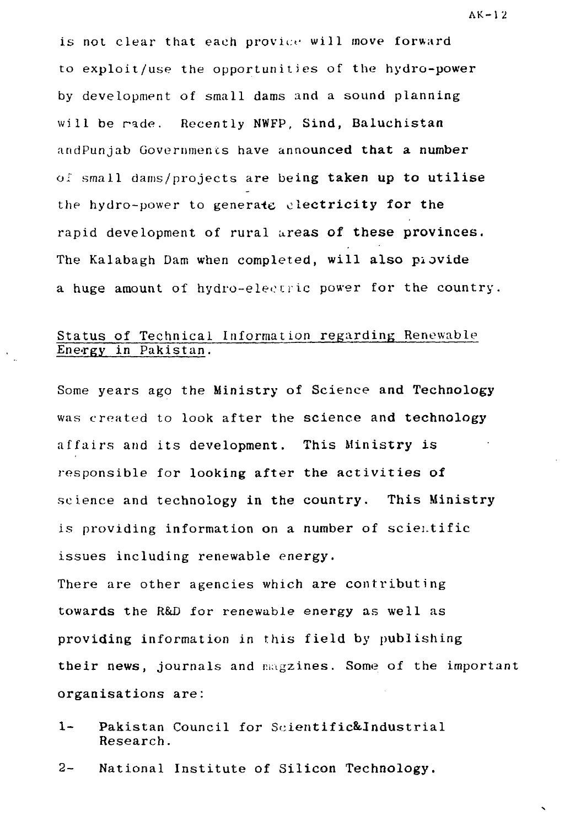is not clear that each provice will move forward to exploit/use the opportunities of the hydro-power by development of small dams and a sound planning will be rade. Recently NWFP, Sind, Baluchistan andPunjab Governments have announced that a number of small dams/projects are being taken up to utilise the hydro-power to generate electricity for the rapid development of rural areas of these provinces. The Kalabagh Dam when completed, will also piovide a huge amount of hydro-electric power for the country.

# Status of Technical Information regarding Renewable Energy in Pakistan.

Some years ago the Ministry of Science and Technology was created to look after the science and technology affairs and its development. This Ministry is responsible for looking after the activities of science and technology in the country. This Ministry is providing information on a number of scientific issues including renewable energy.

There are other agencies which are contributing towards the R&D for renewable energy as well as providing information in this field by publishing their news, journals and magzines. Some of the important organisations are:

- 1- Pakistan Council for Scientific&Industrial Research.
- 2- National Institute of Silicon Technology.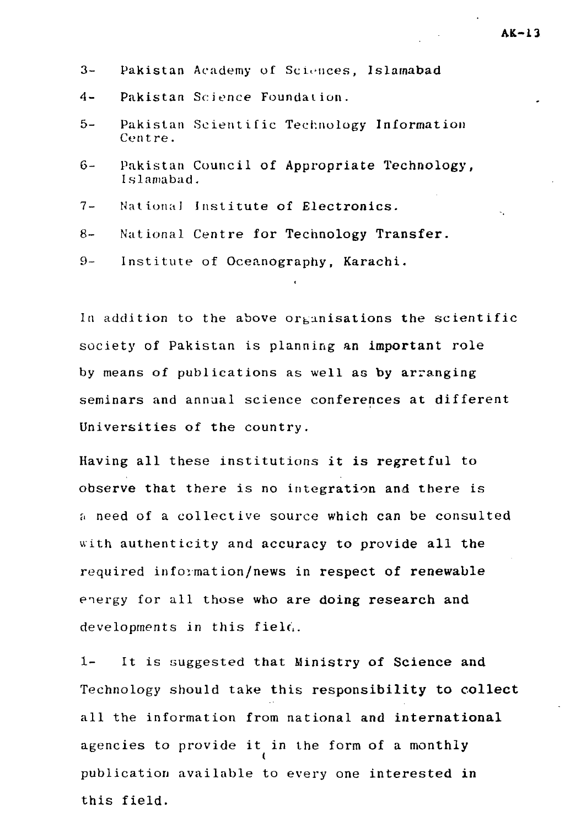- 3- Pakistan Academy of Sciences, Islamabad
- 4- Pakistan Science Foundation.
- 5- Pakistan Scientific Technology Information Centre.
- 6- Pakistan Council of Appropriate Technology, I slamabad.
- 7- National Institute of Electronics.
- 8- National Centre for Technology Transfer.
- 9- Institute of Oceanography, Karachi.

In addition to the above organisations the scientific society of Pakistan is planning an important role by means of publications as well as by arranging seminars and annual science conferences at different Universities of the country.

Having all these institutions it is regretful to observe that there is no integration and there is a need of a collective source which can be consulted with authenticity and accuracy to provide all the required information/news in respect of renewable energy for all those who are doing research and developments in this field.

1- It is suggested that Ministry of Science and Technology should take this responsibility to collect all the information from national and international agencies to provide it in the form of a monthly publication available to every one interested in this field.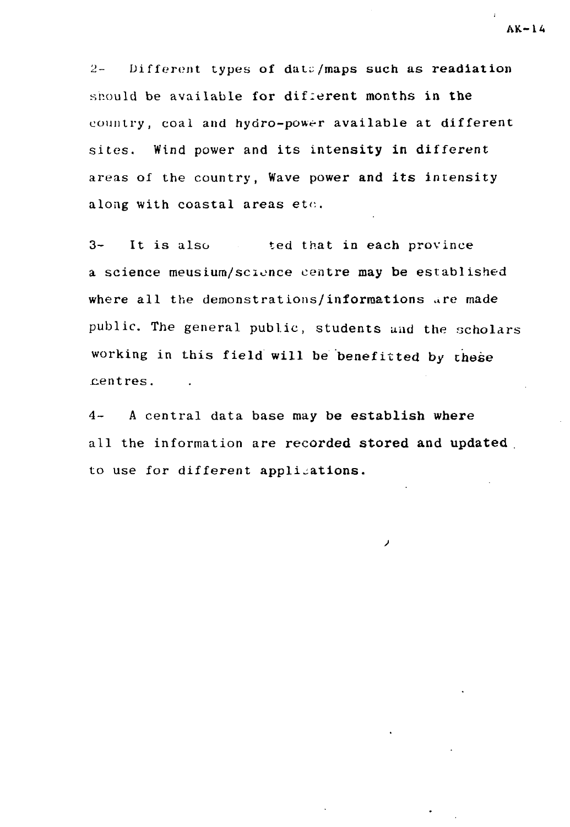2- Different types of **datu/maps** such as **readiation** should be available for different months in **the** country, coal and hydro-power available at different sites. Wind power and its intensity in different areas of the country, Wave power **and its** intensity along with coastal areas etc.

3- It is also ted that in each province a science meusium/scionce centre **may be** established where all the demonstrations/informations are made public. The general public, students and the scholars working in this field will be benefitted by these centres.

4- A central data base may **be establish where** all the information are **recorded stored and updated** to use for different applications.

ر